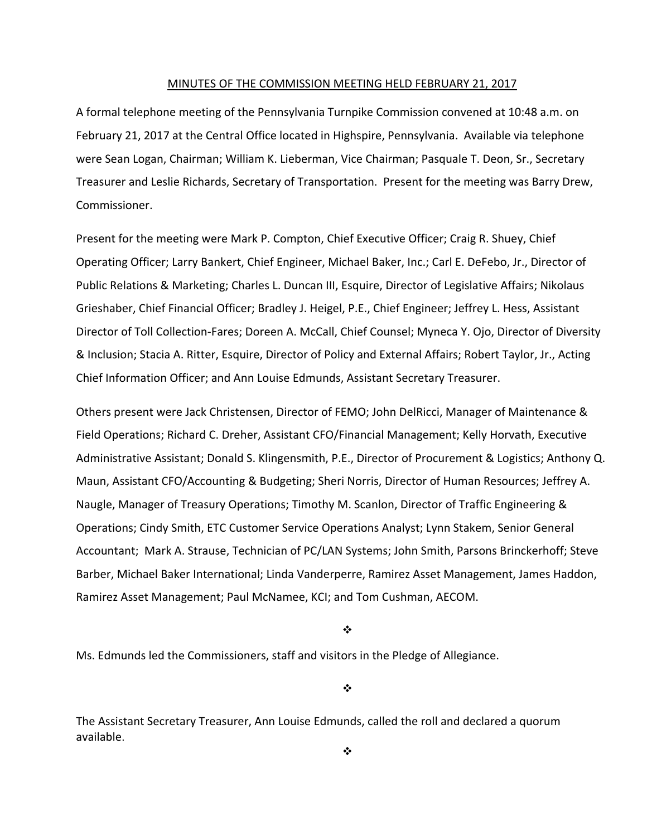#### MINUTES OF THE COMMISSION MEETING HELD FEBRUARY 21, 2017

A formal telephone meeting of the Pennsylvania Turnpike Commission convened at 10:48 a.m. on February 21, 2017 at the Central Office located in Highspire, Pennsylvania. Available via telephone were Sean Logan, Chairman; William K. Lieberman, Vice Chairman; Pasquale T. Deon, Sr., Secretary Treasurer and Leslie Richards, Secretary of Transportation. Present for the meeting was Barry Drew, Commissioner.

Present for the meeting were Mark P. Compton, Chief Executive Officer; Craig R. Shuey, Chief Operating Officer; Larry Bankert, Chief Engineer, Michael Baker, Inc.; Carl E. DeFebo, Jr., Director of Public Relations & Marketing; Charles L. Duncan III, Esquire, Director of Legislative Affairs; Nikolaus Grieshaber, Chief Financial Officer; Bradley J. Heigel, P.E., Chief Engineer; Jeffrey L. Hess, Assistant Director of Toll Collection‐Fares; Doreen A. McCall, Chief Counsel; Myneca Y. Ojo, Director of Diversity & Inclusion; Stacia A. Ritter, Esquire, Director of Policy and External Affairs; Robert Taylor, Jr., Acting Chief Information Officer; and Ann Louise Edmunds, Assistant Secretary Treasurer.

Others present were Jack Christensen, Director of FEMO; John DelRicci, Manager of Maintenance & Field Operations; Richard C. Dreher, Assistant CFO/Financial Management; Kelly Horvath, Executive Administrative Assistant; Donald S. Klingensmith, P.E., Director of Procurement & Logistics; Anthony Q. Maun, Assistant CFO/Accounting & Budgeting; Sheri Norris, Director of Human Resources; Jeffrey A. Naugle, Manager of Treasury Operations; Timothy M. Scanlon, Director of Traffic Engineering & Operations; Cindy Smith, ETC Customer Service Operations Analyst; Lynn Stakem, Senior General Accountant; Mark A. Strause, Technician of PC/LAN Systems; John Smith, Parsons Brinckerhoff; Steve Barber, Michael Baker International; Linda Vanderperre, Ramirez Asset Management, James Haddon, Ramirez Asset Management; Paul McNamee, KCI; and Tom Cushman, AECOM.

 $\bullet^{\bullet}_{\bullet}$ 

Ms. Edmunds led the Commissioners, staff and visitors in the Pledge of Allegiance.

❖

The Assistant Secretary Treasurer, Ann Louise Edmunds, called the roll and declared a quorum available.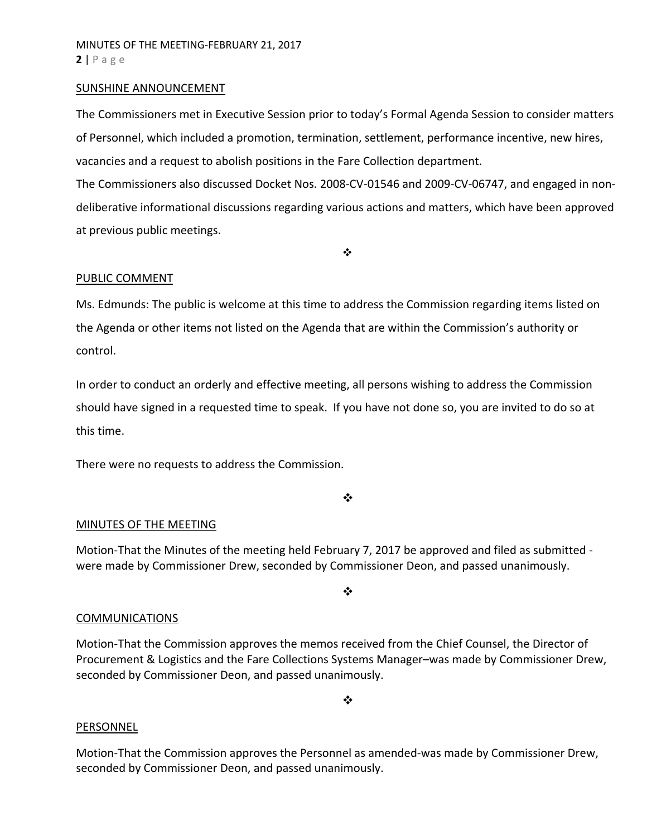### SUNSHINE ANNOUNCEMENT

The Commissioners met in Executive Session prior to today's Formal Agenda Session to consider matters of Personnel, which included a promotion, termination, settlement, performance incentive, new hires, vacancies and a request to abolish positions in the Fare Collection department.

The Commissioners also discussed Docket Nos. 2008‐CV‐01546 and 2009‐CV‐06747, and engaged in non‐ deliberative informational discussions regarding various actions and matters, which have been approved at previous public meetings.

 $\bullet^{\bullet}_{\bullet} \bullet$ 

# PUBLIC COMMENT

Ms. Edmunds: The public is welcome at this time to address the Commission regarding items listed on the Agenda or other items not listed on the Agenda that are within the Commission's authority or control.

In order to conduct an orderly and effective meeting, all persons wishing to address the Commission should have signed in a requested time to speak. If you have not done so, you are invited to do so at this time.

There were no requests to address the Commission.

❖

# MINUTES OF THE MEETING

Motion-That the Minutes of the meeting held February 7, 2017 be approved and filed as submitted were made by Commissioner Drew, seconded by Commissioner Deon, and passed unanimously.

❖

# **COMMUNICATIONS**

Motion‐That the Commission approves the memos received from the Chief Counsel, the Director of Procurement & Logistics and the Fare Collections Systems Manager–was made by Commissioner Drew, seconded by Commissioner Deon, and passed unanimously.

 $\frac{1}{2}$ 

#### PERSONNEL

Motion‐That the Commission approves the Personnel as amended‐was made by Commissioner Drew, seconded by Commissioner Deon, and passed unanimously.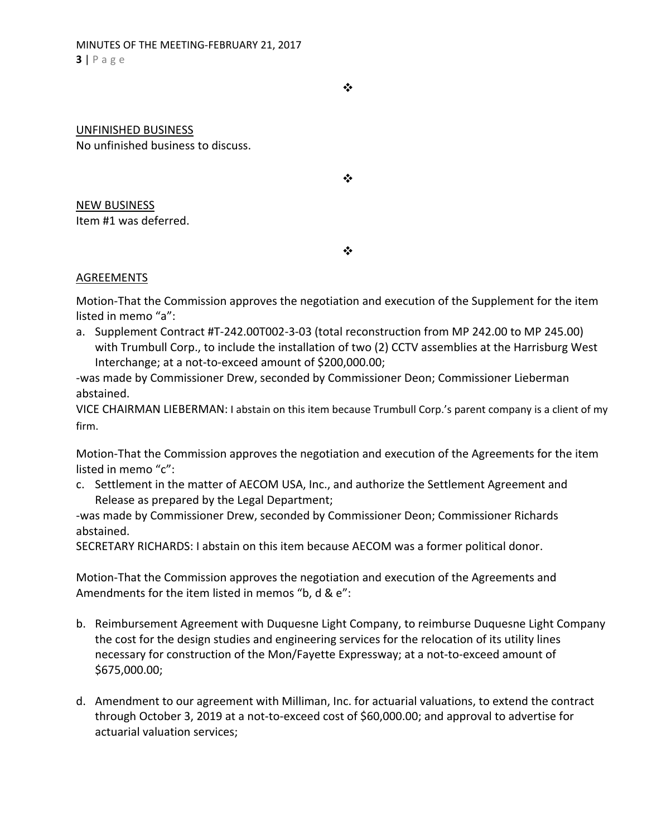❖

### UNFINISHED BUSINESS

No unfinished business to discuss.

NEW BUSINESS Item #1 was deferred.

 $\cdot$ 

❖

# AGREEMENTS

Motion‐That the Commission approves the negotiation and execution of the Supplement for the item listed in memo "a":

a. Supplement Contract #T‐242.00T002‐3‐03 (total reconstruction from MP 242.00 to MP 245.00) with Trumbull Corp., to include the installation of two (2) CCTV assemblies at the Harrisburg West Interchange; at a not‐to‐exceed amount of \$200,000.00;

‐was made by Commissioner Drew, seconded by Commissioner Deon; Commissioner Lieberman abstained.

VICE CHAIRMAN LIEBERMAN: I abstain on this item because Trumbull Corp.'s parent company is a client of my firm.

Motion‐That the Commission approves the negotiation and execution of the Agreements for the item listed in memo "c":

c. Settlement in the matter of AECOM USA, Inc., and authorize the Settlement Agreement and Release as prepared by the Legal Department;

‐was made by Commissioner Drew, seconded by Commissioner Deon; Commissioner Richards abstained.

SECRETARY RICHARDS: I abstain on this item because AECOM was a former political donor.

Motion‐That the Commission approves the negotiation and execution of the Agreements and Amendments for the item listed in memos "b, d & e":

- b. Reimbursement Agreement with Duquesne Light Company, to reimburse Duquesne Light Company the cost for the design studies and engineering services for the relocation of its utility lines necessary for construction of the Mon/Fayette Expressway; at a not‐to‐exceed amount of \$675,000.00;
- d. Amendment to our agreement with Milliman, Inc. for actuarial valuations, to extend the contract through October 3, 2019 at a not‐to‐exceed cost of \$60,000.00; and approval to advertise for actuarial valuation services;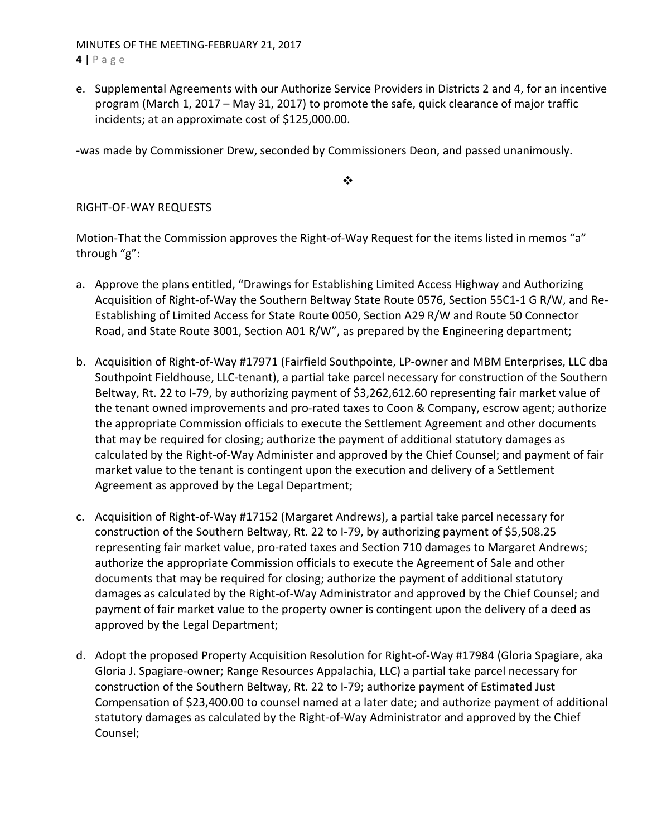MINUTES OF THE MEETING‐FEBRUARY 21, 2017 **4** | Page

e. Supplemental Agreements with our Authorize Service Providers in Districts 2 and 4, for an incentive program (March 1, 2017 – May 31, 2017) to promote the safe, quick clearance of major traffic incidents; at an approximate cost of \$125,000.00.

‐was made by Commissioner Drew, seconded by Commissioners Deon, and passed unanimously.

 $\bullet \bullet$ 

# RIGHT‐OF‐WAY REQUESTS

Motion-That the Commission approves the Right-of-Way Request for the items listed in memos "a" through "g":

- a. Approve the plans entitled, "Drawings for Establishing Limited Access Highway and Authorizing Acquisition of Right‐of‐Way the Southern Beltway State Route 0576, Section 55C1‐1 G R/W, and Re‐ Establishing of Limited Access for State Route 0050, Section A29 R/W and Route 50 Connector Road, and State Route 3001, Section A01 R/W", as prepared by the Engineering department;
- b. Acquisition of Right‐of‐Way #17971 (Fairfield Southpointe, LP‐owner and MBM Enterprises, LLC dba Southpoint Fieldhouse, LLC‐tenant), a partial take parcel necessary for construction of the Southern Beltway, Rt. 22 to I‐79, by authorizing payment of \$3,262,612.60 representing fair market value of the tenant owned improvements and pro‐rated taxes to Coon & Company, escrow agent; authorize the appropriate Commission officials to execute the Settlement Agreement and other documents that may be required for closing; authorize the payment of additional statutory damages as calculated by the Right‐of‐Way Administer and approved by the Chief Counsel; and payment of fair market value to the tenant is contingent upon the execution and delivery of a Settlement Agreement as approved by the Legal Department;
- c. Acquisition of Right‐of‐Way #17152 (Margaret Andrews), a partial take parcel necessary for construction of the Southern Beltway, Rt. 22 to I‐79, by authorizing payment of \$5,508.25 representing fair market value, pro-rated taxes and Section 710 damages to Margaret Andrews; authorize the appropriate Commission officials to execute the Agreement of Sale and other documents that may be required for closing; authorize the payment of additional statutory damages as calculated by the Right‐of‐Way Administrator and approved by the Chief Counsel; and payment of fair market value to the property owner is contingent upon the delivery of a deed as approved by the Legal Department;
- d. Adopt the proposed Property Acquisition Resolution for Right‐of‐Way #17984 (Gloria Spagiare, aka Gloria J. Spagiare‐owner; Range Resources Appalachia, LLC) a partial take parcel necessary for construction of the Southern Beltway, Rt. 22 to I‐79; authorize payment of Estimated Just Compensation of \$23,400.00 to counsel named at a later date; and authorize payment of additional statutory damages as calculated by the Right‐of‐Way Administrator and approved by the Chief Counsel;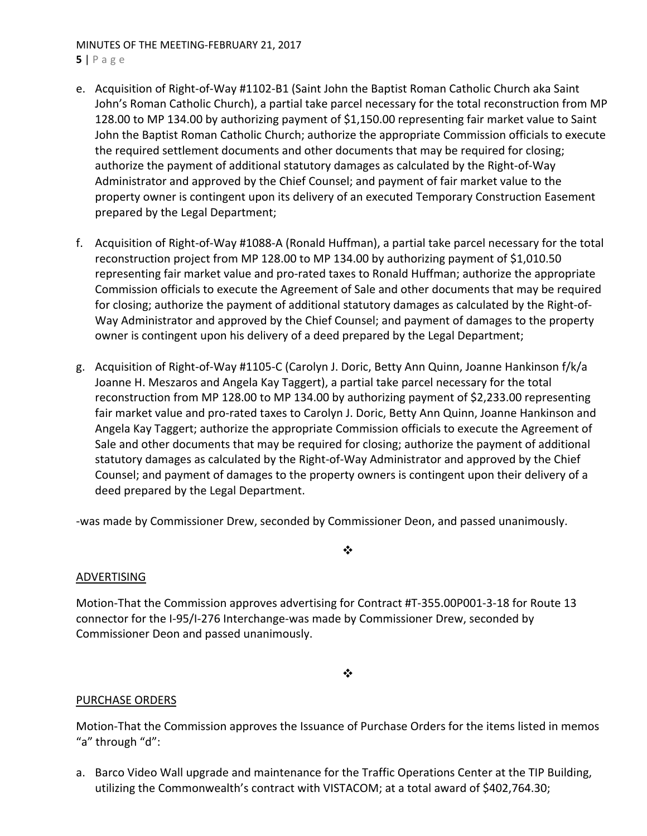### MINUTES OF THE MEETING‐FEBRUARY 21, 2017 **5** | Page

- e. Acquisition of Right‐of‐Way #1102‐B1 (Saint John the Baptist Roman Catholic Church aka Saint John's Roman Catholic Church), a partial take parcel necessary for the total reconstruction from MP 128.00 to MP 134.00 by authorizing payment of \$1,150.00 representing fair market value to Saint John the Baptist Roman Catholic Church; authorize the appropriate Commission officials to execute the required settlement documents and other documents that may be required for closing; authorize the payment of additional statutory damages as calculated by the Right‐of‐Way Administrator and approved by the Chief Counsel; and payment of fair market value to the property owner is contingent upon its delivery of an executed Temporary Construction Easement prepared by the Legal Department;
- f. Acquisition of Right‐of‐Way #1088‐A (Ronald Huffman), a partial take parcel necessary for the total reconstruction project from MP 128.00 to MP 134.00 by authorizing payment of \$1,010.50 representing fair market value and pro-rated taxes to Ronald Huffman; authorize the appropriate Commission officials to execute the Agreement of Sale and other documents that may be required for closing; authorize the payment of additional statutory damages as calculated by the Right‐of‐ Way Administrator and approved by the Chief Counsel; and payment of damages to the property owner is contingent upon his delivery of a deed prepared by the Legal Department;
- g. Acquisition of Right‐of‐Way #1105‐C (Carolyn J. Doric, Betty Ann Quinn, Joanne Hankinson f/k/a Joanne H. Meszaros and Angela Kay Taggert), a partial take parcel necessary for the total reconstruction from MP 128.00 to MP 134.00 by authorizing payment of \$2,233.00 representing fair market value and pro‐rated taxes to Carolyn J. Doric, Betty Ann Quinn, Joanne Hankinson and Angela Kay Taggert; authorize the appropriate Commission officials to execute the Agreement of Sale and other documents that may be required for closing; authorize the payment of additional statutory damages as calculated by the Right‐of‐Way Administrator and approved by the Chief Counsel; and payment of damages to the property owners is contingent upon their delivery of a deed prepared by the Legal Department.

‐was made by Commissioner Drew, seconded by Commissioner Deon, and passed unanimously.

# ADVERTISING

Motion‐That the Commission approves advertising for Contract #T‐355.00P001‐3‐18 for Route 13 connector for the I‐95/I‐276 Interchange‐was made by Commissioner Drew, seconded by Commissioner Deon and passed unanimously.

❖

 $\bullet \bullet$ 

# PURCHASE ORDERS

Motion‐That the Commission approves the Issuance of Purchase Orders for the items listed in memos "a" through "d":

a. Barco Video Wall upgrade and maintenance for the Traffic Operations Center at the TIP Building, utilizing the Commonwealth's contract with VISTACOM; at a total award of \$402,764.30;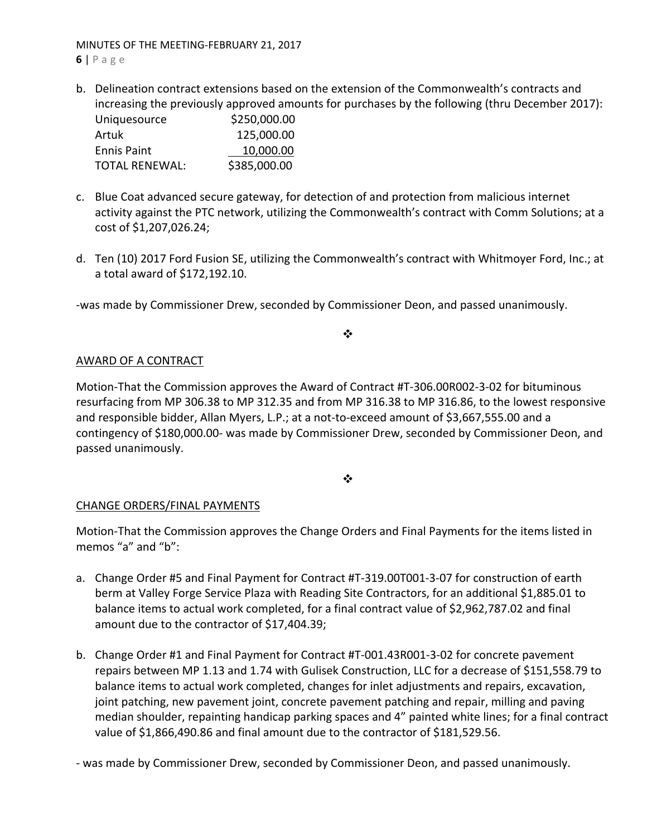MINUTES OF THE MEETING‐FEBRUARY 21, 2017

**6** | Page

b. Delineation contract extensions based on the extension of the Commonwealth's contracts and increasing the previously approved amounts for purchases by the following (thru December 2017):

| Uniquesource          | \$250,000.00 |
|-----------------------|--------------|
| Artuk                 | 125,000.00   |
| <b>Ennis Paint</b>    | 10,000.00    |
| <b>TOTAL RENEWAL:</b> | \$385,000.00 |

- c. Blue Coat advanced secure gateway, for detection of and protection from malicious internet activity against the PTC network, utilizing the Commonwealth's contract with Comm Solutions; at a cost of \$1,207,026.24;
- d. Ten (10) 2017 Ford Fusion SE, utilizing the Commonwealth's contract with Whitmoyer Ford, Inc.; at a total award of \$172,192.10.

‐was made by Commissioner Drew, seconded by Commissioner Deon, and passed unanimously.

❖

# AWARD OF A CONTRACT

Motion‐That the Commission approves the Award of Contract #T‐306.00R002‐3‐02 for bituminous resurfacing from MP 306.38 to MP 312.35 and from MP 316.38 to MP 316.86, to the lowest responsive and responsible bidder, Allan Myers, L.P.; at a not‐to‐exceed amount of \$3,667,555.00 and a contingency of \$180,000.00‐ was made by Commissioner Drew, seconded by Commissioner Deon, and passed unanimously.

❖

# CHANGE ORDERS/FINAL PAYMENTS

Motion‐That the Commission approves the Change Orders and Final Payments for the items listed in memos "a" and "b":

- a. Change Order #5 and Final Payment for Contract #T‐319.00T001‐3‐07 for construction of earth berm at Valley Forge Service Plaza with Reading Site Contractors, for an additional \$1,885.01 to balance items to actual work completed, for a final contract value of \$2,962,787.02 and final amount due to the contractor of \$17,404.39;
- b. Change Order #1 and Final Payment for Contract #T‐001.43R001‐3‐02 for concrete pavement repairs between MP 1.13 and 1.74 with Gulisek Construction, LLC for a decrease of \$151,558.79 to balance items to actual work completed, changes for inlet adjustments and repairs, excavation, joint patching, new pavement joint, concrete pavement patching and repair, milling and paving median shoulder, repainting handicap parking spaces and 4" painted white lines; for a final contract value of \$1,866,490.86 and final amount due to the contractor of \$181,529.56.

‐ was made by Commissioner Drew, seconded by Commissioner Deon, and passed unanimously.